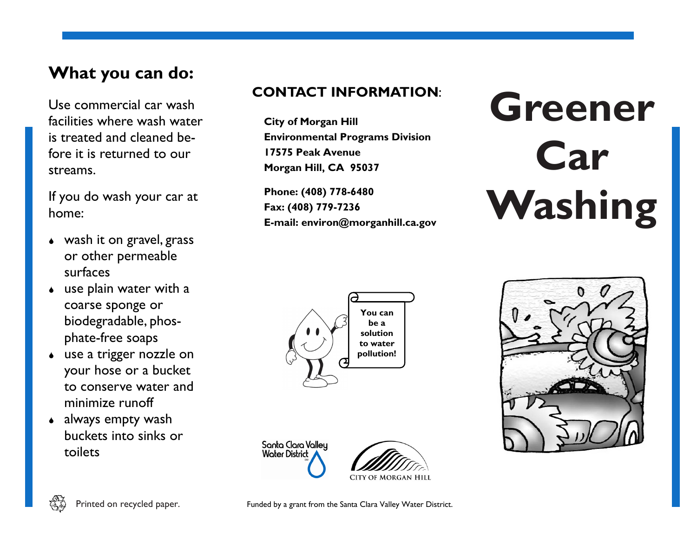## **What you can do:**

Use commercial car wash facilities where wash water is treated and cleaned before it is returned to our streams.

If you do wash your car at home:

- wash it on gravel, grass or other permeable surfaces
- use plain water with a coarse sponge or biodegradable, phosphate-free soaps
- use a trigger nozzle on your hose or a bucket to conserve water and minimize runoff
- always empty wash buckets into sinks or toilets

## **CONTACT INFORMATION**:

**City of Morgan Hill Environmental Programs Division 17575 Peak Avenue Morgan Hill, CA 95037**

**Phone: (408) 778-6480 Fax: (408) 779-7236 E-mail: environ@morganhill.ca.gov**

## **Greener Car Washing**











Printed on recycled paper. Funded by a grant from the Santa Clara Valley Water District.